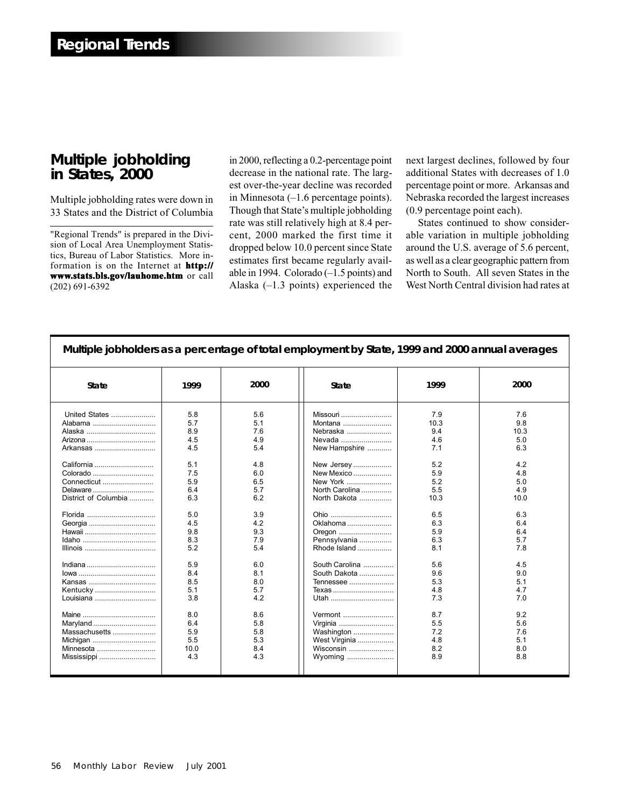## **Multiple jobholding in States, 2000**

Multiple jobholding rates were down in 33 States and the District of Columbia

"Regional Trends" is prepared in the Division of Local Area Unemployment Statistics, Bureau of Labor Statistics. More information is on the Internet at **http:// www.stats.bls.gov/lauhome.htm** or call (202) 691-6392

in 2000, reflecting a 0.2-percentage point decrease in the national rate. The largest over-the-year decline was recorded in Minnesota (–1.6 percentage points). Though that State's multiple jobholding rate was still relatively high at 8.4 percent, 2000 marked the first time it dropped below 10.0 percent since State estimates first became regularly available in 1994. Colorado (–1.5 points) and Alaska (–1.3 points) experienced the

next largest declines, followed by four additional States with decreases of 1.0 percentage point or more. Arkansas and Nebraska recorded the largest increases (0.9 percentage point each).

States continued to show considerable variation in multiple jobholding around the U.S. average of 5.6 percent, as well as a clear geographic pattern from North to South. All seven States in the West North Central division had rates at

| Multiple jobholders as a percentage of total employment by State, 1999 and 2000 annual averages                                                                                                                        |                                                                                                                                                                              |                                                                                                                                                                             |                                                                                                                                                                                                                                                                                                                                       |                                                                                                                                                                               |                                                                                                                                                                               |
|------------------------------------------------------------------------------------------------------------------------------------------------------------------------------------------------------------------------|------------------------------------------------------------------------------------------------------------------------------------------------------------------------------|-----------------------------------------------------------------------------------------------------------------------------------------------------------------------------|---------------------------------------------------------------------------------------------------------------------------------------------------------------------------------------------------------------------------------------------------------------------------------------------------------------------------------------|-------------------------------------------------------------------------------------------------------------------------------------------------------------------------------|-------------------------------------------------------------------------------------------------------------------------------------------------------------------------------|
| <b>State</b>                                                                                                                                                                                                           | 1999                                                                                                                                                                         | 2000                                                                                                                                                                        | <b>State</b>                                                                                                                                                                                                                                                                                                                          | 1999                                                                                                                                                                          | 2000                                                                                                                                                                          |
| United States<br>Alabama<br>Arkansas<br>California<br>Colorado<br>Connecticut<br>Delaware<br>District of Columbia<br>Florida<br>Georgia<br>Kentucky<br>Louisiana<br>Maryland<br>Massachusetts<br>Michigan<br>Minnesota | 5.8<br>5.7<br>8.9<br>4.5<br>4.5<br>5.1<br>7.5<br>5.9<br>6.4<br>6.3<br>5.0<br>4.5<br>9.8<br>8.3<br>5.2<br>5.9<br>8.4<br>8.5<br>5.1<br>3.8<br>8.0<br>6.4<br>5.9<br>5.5<br>10.0 | 5.6<br>5.1<br>7.6<br>4.9<br>5.4<br>4.8<br>6.0<br>6.5<br>5.7<br>6.2<br>3.9<br>4.2<br>9.3<br>7.9<br>5.4<br>6.0<br>8.1<br>8.0<br>5.7<br>4.2<br>8.6<br>5.8<br>5.8<br>5.3<br>8.4 | Missouri<br>Montana<br>Nebraska<br>Nevada<br>New Hampshire<br>New Jersey<br>New Mexico<br>New York<br>North Carolina<br>North Dakota<br>Ohio<br>Oklahoma<br>Oregon<br>Pennsylvania<br>Rhode Island<br>South Carolina<br>South Dakota<br>Tennessee<br>Texas<br>Utah<br>Vermont<br>Virginia<br>Washington<br>West Virginia<br>Wisconsin | 7.9<br>10.3<br>9.4<br>4.6<br>7.1<br>5.2<br>5.9<br>5.2<br>5.5<br>10.3<br>6.5<br>6.3<br>5.9<br>6.3<br>8.1<br>5.6<br>9.6<br>5.3<br>4.8<br>7.3<br>8.7<br>5.5<br>7.2<br>4.8<br>8.2 | 7.6<br>9.8<br>10.3<br>5.0<br>6.3<br>4.2<br>4.8<br>5.0<br>4.9<br>10.0<br>6.3<br>6.4<br>6.4<br>5.7<br>7.8<br>4.5<br>9.0<br>5.1<br>4.7<br>7.0<br>9.2<br>5.6<br>7.6<br>5.1<br>8.0 |
| Mississippi                                                                                                                                                                                                            | 4.3                                                                                                                                                                          | 4.3                                                                                                                                                                         | Wyoming                                                                                                                                                                                                                                                                                                                               | 8.9                                                                                                                                                                           | 8.8                                                                                                                                                                           |